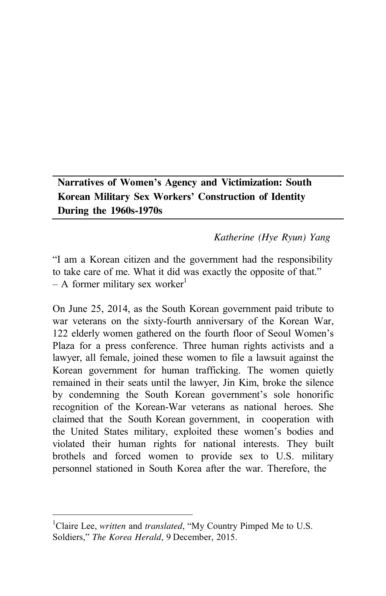**Narratives of Women's Agency and Victimization: South Korean Military Sex Workers' Construction of Identity During the 1960s-1970s**

#### *Katherine (Hye Ryun) Yang*

"I am a Korean citizen and the government had the responsibility to take care of me. What it did was exactly the opposite of that."  $- A$  former military sex worker<sup>1</sup>

On June 25, 2014, as the South Korean government paid tribute to war veterans on the sixty-fourth anniversary of the Korean War, 122 elderly women gathered on the fourth floor of Seoul Women's Plaza for a press conference. Three human rights activists and a lawyer, all female, joined these women to file a lawsuit against the Korean government for human trafficking. The women quietly remained in their seats until the lawyer, Jin Kim, broke the silence by condemning the South Korean government's sole honorific recognition of the Korean-War veterans as national heroes. She claimed that the South Korean government, in cooperation with the United States military, exploited these women's bodies and violated their human rights for national interests. They built brothels and forced women to provide sex to U.S. military personnel stationed in South Korea after the war. Therefore, the

<sup>&</sup>lt;sup>1</sup>Claire Lee, *written* and *translated*, "My Country Pimped Me to U.S. Soldiers," *The Korea Herald*, 9 December, 2015.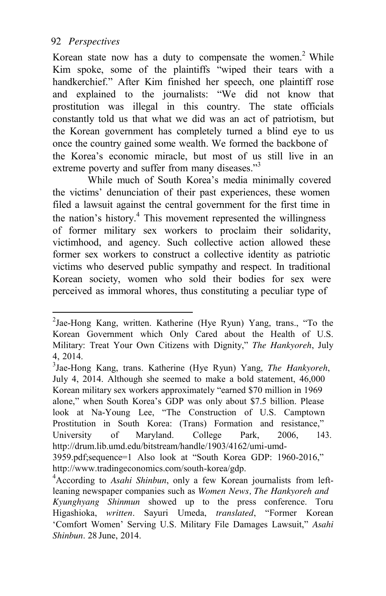Korean state now has a duty to compensate the women.<sup>2</sup> While Kim spoke, some of the plaintiffs "wiped their tears with a handkerchief." After Kim finished her speech, one plaintiff rose and explained to the journalists: "We did not know that prostitution was illegal in this country. The state officials constantly told us that what we did was an act of patriotism, but the Korean government has completely turned a blind eye to us once the country gained some wealth. We formed the backbone of the Korea's economic miracle, but most of us still live in an extreme poverty and suffer from many diseases."<sup>3</sup>

While much of South Korea's media minimally covered the victims' denunciation of their past experiences, these women filed a lawsuit against the central government for the first time in the nation's history.<sup>4</sup> This movement represented the willingness of former military sex workers to proclaim their solidarity, victimhood, and agency. Such collective action allowed these former sex workers to construct a collective identity as patriotic victims who deserved public sympathy and respect. In traditional Korean society, women who sold their bodies for sex were perceived as immoral whores, thus constituting a peculiar type of

 $2^2$ Jae-Hong Kang, written. Katherine (Hye Ryun) Yang, trans., "To the Korean Government which Only Cared about the Health of U.S. Military: Treat Your Own Citizens with Dignity," *The Hankyoreh*, July 4, 2014.

<sup>3</sup> Jae-Hong Kang, trans. Katherine (Hye Ryun) Yang, *The Hankyoreh*, July 4, 2014. Although she seemed to make a bold statement, 46,000 Korean military sex workers approximately "earned \$70 million in 1969 alone," when South Korea's GDP was only about \$7.5 billion. Please look at Na-Young Lee, "The Construction of U.S. Camptown Prostitution in South Korea: (Trans) Formation and resistance," University of Maryland. College Park, 2006, 143. <http://drum.lib.umd.edu/bitstream/handle/1903/4162/umi-umd->3959.pdf;sequence=1 Also look at "South Korea GDP: 1960-2016," [http://www.tradingeconomics.com/south-korea/gdp.](http://www.tradingeconomics.com/south-korea/gdp) 

<sup>4</sup> According to *Asahi Shinbun*, only a few Korean journalists from leftleaning newspaper companies such as *Women News, The Hankyoreh and Kyunghyang Shinmun* showed up to the press conference. Toru Higashioka, *written*. Sayuri Umeda, *translated*, "Former Korean 'Comfort Women' Serving U.S. Military File Damages Lawsuit," *Asahi Shinbun*. 28 June, 2014.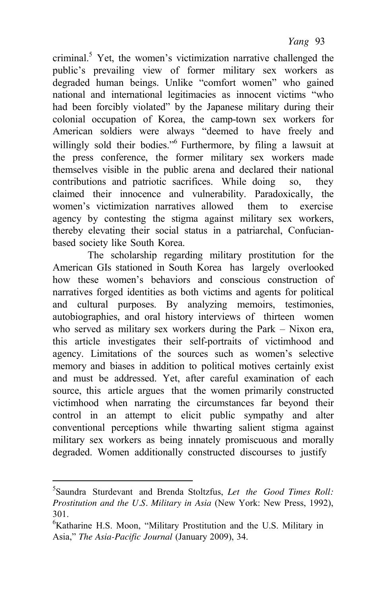criminal.<sup>5</sup> Yet, the women's victimization narrative challenged the public's prevailing view of former military sex workers as degraded human beings. Unlike "comfort women" who gained national and international legitimacies as innocent victims "who had been forcibly violated" by the Japanese military during their colonial occupation of Korea, the camp-town sex workers for American soldiers were always "deemed to have freely and willingly sold their bodies."<sup>6</sup> Furthermore, by filing a lawsuit at the press conference, the former military sex workers made themselves visible in the public arena and declared their national contributions and patriotic sacrifices. While doing so, they claimed their innocence and vulnerability. Paradoxically, the women's victimization narratives allowed them to exercise agency by contesting the stigma against military sex workers, thereby elevating their social status in a patriarchal, Confucianbased society like South Korea.

The scholarship regarding military prostitution for the American GIs stationed in South Korea has largely overlooked how these women's behaviors and conscious construction of narratives forged identities as both victims and agents for political and cultural purposes. By analyzing memoirs, testimonies, autobiographies, and oral history interviews of thirteen women who served as military sex workers during the Park – Nixon era, this article investigates their self-portraits of victimhood and agency. Limitations of the sources such as women's selective memory and biases in addition to political motives certainly exist and must be addressed. Yet, after careful examination of each source, this article argues that the women primarily constructed victimhood when narrating the circumstances far beyond their control in an attempt to elicit public sympathy and alter conventional perceptions while thwarting salient stigma against military sex workers as being innately promiscuous and morally degraded. Women additionally constructed discourses to justify

<sup>5</sup> Saundra Sturdevant and Brenda Stoltzfus, *Let the Good Times Roll: Prostitution and the U.S. Military in Asia* (New York: New Press, 1992), 301.

<sup>6</sup> Katharine H.S. Moon, "Military Prostitution and the U.S. Military in Asia," *The Asia-Pacific Journal* (January 2009), 34.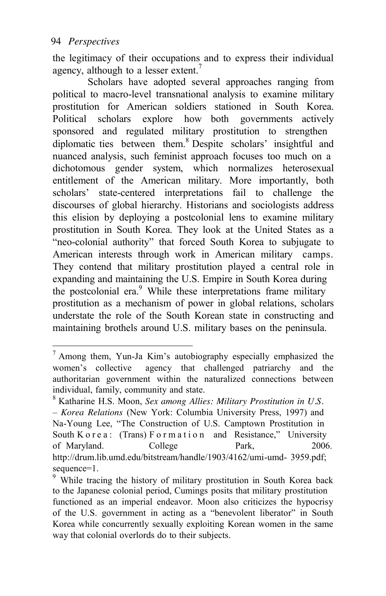the legitimacy of their occupations and to express their individual agency, although to a lesser extent.<sup>7</sup>

Scholars have adopted several approaches ranging from political to macro-level transnational analysis to examine military prostitution for American soldiers stationed in South Korea. Political scholars explore how both governments actively sponsored and regulated military prostitution to strengthen diplomatic ties between them.<sup>8</sup> Despite scholars' insightful and nuanced analysis, such feminist approach focuses too much on a dichotomous gender system, which normalizes heterosexual entitlement of the American military. More importantly, both scholars' state-centered interpretations fail to challenge the discourses of global hierarchy. Historians and sociologists address this elision by deploying a postcolonial lens to examine military prostitution in South Korea. They look at the United States as a "neo-colonial authority" that forced South Korea to subjugate to American interests through work in American military camps. They contend that military prostitution played a central role in expanding and maintaining the U.S. Empire in South Korea during the postcolonial era.<sup>9</sup> While these interpretations frame military prostitution as a mechanism of power in global relations, scholars understate the role of the South Korean state in constructing and maintaining brothels around U.S. military bases on the peninsula.

 $<sup>7</sup>$  Among them, Yun-Ja Kim's autobiography especially emphasized the</sup> women's collective agency that challenged patriarchy and the authoritarian government within the naturalized connections between individual, family, community and state.

<sup>8</sup> Katharine H.S. Moon, *Sex among Allies: Military Prostitution in U.S. – Korea Relations* (New York: Columbia University Press, 1997) and Na-Young Lee, "The Construction of U.S. Camptown Prostitution in South K o r e a : (Trans)  $F$  o r m a t i o n and Resistance," University of Maryland. College Park, 2006. <http://drum.lib.umd.edu/bitstream/handle/1903/4162/umi-umd->3959.pdf; sequence=1.

<sup>&</sup>lt;sup>9</sup> While tracing the history of military prostitution in South Korea back to the Japanese colonial period, Cumings posits that military prostitution functioned as an imperial endeavor. Moon also criticizes the hypocrisy of the U.S. government in acting as a "benevolent liberator" in South Korea while concurrently sexually exploiting Korean women in the same way that colonial overlords do to their subjects.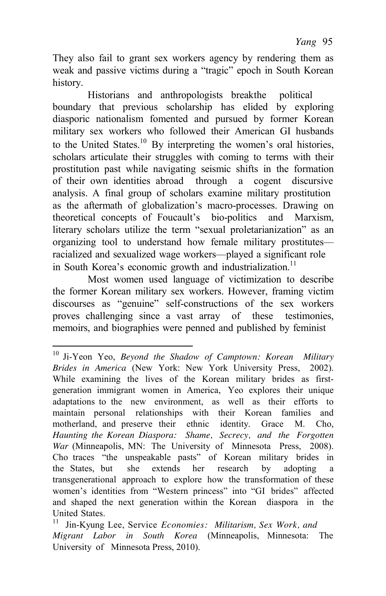They also fail to grant sex workers agency by rendering them as weak and passive victims during a "tragic" epoch in South Korean history.

Historians and anthropologists break the political boundary that previous scholarship has elided by exploring diasporic nationalism fomented and pursued by former Korean military sex workers who followed their American GI husbands to the United States.<sup>10</sup> By interpreting the women's oral histories, scholars articulate their struggles with coming to terms with their prostitution past while navigating seismic shifts in the formation of their own identities abroad through a cogent discursive analysis. A final group of scholars examine military prostitution as the aftermath of globalization's macro-processes. Drawing on theoretical concepts of Foucault's bio-politics and Marxism, literary scholars utilize the term "sexual proletarianization" as an organizing tool to understand how female military prostitutes–– racialized and sexualized wage workers––played a significant role in South Korea's economic growth and industrialization.<sup>11</sup>

Most women used language of victimization to describe the former Korean military sex workers. However, framing victim discourses as "genuine" self-constructions of the sex workers proves challenging since a vast array of these testimonies, memoirs, and biographies were penned and published by feminist

<sup>10</sup> Ji-Yeon Yeo, *Beyond the Shadow of Camptown: Korean Military Brides in America* (New York: New York University Press, 2002). While examining the lives of the Korean military brides as firstgeneration immigrant women in America, Yeo explores their unique adaptations to the new environment, as well as their efforts to maintain personal relationships with their Korean families and motherland, and preserve their ethnic identity. Grace M. Cho, *Haunting the Korean Diaspora: Shame, Secrecy, and the Forgotten War* (Minneapolis, MN: The University of Minnesota Press, 2008). Cho traces "the unspeakable pasts" of Korean military brides in the States, but she extends her research by adopting a transgenerational approach to explore how the transformation of these women's identities from "Western princess" into "GI brides" affected and shaped the next generation within the Korean diaspora in the United States.

<sup>11</sup> Jin-Kyung Lee, Service *Economies: Militarism, Sex Work, and Migrant Labor in South Korea* (Minneapolis, Minnesota: The University of Minnesota Press, 2010).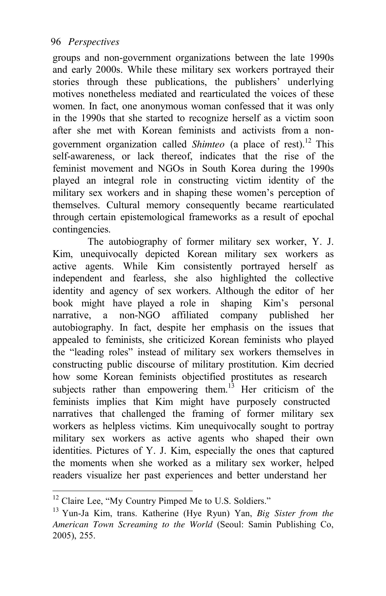groups and non-government organizations between the late 1990s and early 2000s. While these military sex workers portrayed their stories through these publications, the publishers' underlying motives nonetheless mediated and rearticulated the voices of these women. In fact, one anonymous woman confessed that it was only in the 1990s that she started to recognize herself as a victim soon after she met with Korean feminists and activists from a nongovernment organization called *Shimteo* (a place of rest).12 This self-awareness, or lack thereof, indicates that the rise of the feminist movement and NGOs in South Korea during the 1990s played an integral role in constructing victim identity of the military sex workers and in shaping these women's perception of themselves. Cultural memory consequently became rearticulated through certain epistemological frameworks as a result of epochal contingencies.

The autobiography of former military sex worker, Y. J. Kim, unequivocally depicted Korean military sex workers as active agents. While Kim consistently portrayed herself as independent and fearless, she also highlighted the collective identity and agency of sex workers. Although the editor of her book might have played a role in shaping Kim's personal narrative, a non-NGO affiliated company published her autobiography. In fact, despite her emphasis on the issues that appealed to feminists, she criticized Korean feminists who played the "leading roles" instead of military sex workers themselves in constructing public discourse of military prostitution. Kim decried how some Korean feminists objectified prostitutes as research subjects rather than empowering them.<sup>13</sup> Her criticism of the feminists implies that Kim might have purposely constructed narratives that challenged the framing of former military sex workers as helpless victims. Kim unequivocally sought to portray military sex workers as active agents who shaped their own identities. Pictures of Y. J. Kim, especially the ones that captured the moments when she worked as a military sex worker, helped readers visualize her past experiences and better understand her

<sup>&</sup>lt;sup>12</sup> Claire Lee, "My Country Pimped Me to U.S. Soldiers."

<sup>13</sup> Yun-Ja Kim, trans. Katherine (Hye Ryun) Yan, *Big Sister from the American Town Screaming to the World* (Seoul: Samin Publishing Co, 2005), 255.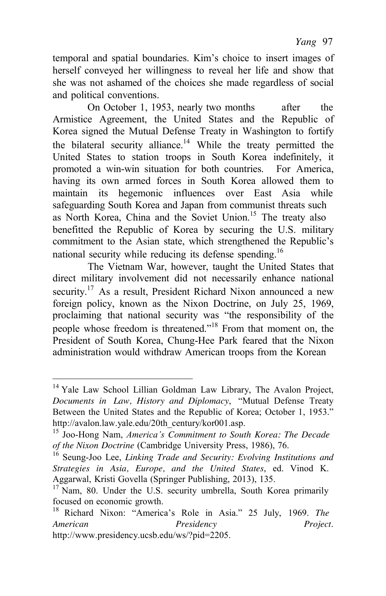temporal and spatial boundaries. Kim's choice to insert images of herself conveyed her willingness to reveal her life and show that she was not ashamed of the choices she made regardless of social and political conventions.

On October 1, 1953, nearly two months after the Armistice Agreement, the United States and the Republic of Korea signed the Mutual Defense Treaty in Washington to fortify the bilateral security alliance.<sup>14</sup> While the treaty permitted the United States to station troops in South Korea indefinitely, it promoted a win-win situation for both countries. For America, having its own armed forces in South Korea allowed them to maintain its hegemonic influences over East Asia while safeguarding South Korea and Japan from communist threats such as North Korea, China and the Soviet Union.<sup>15</sup> The treaty also benefitted the Republic of Korea by securing the U.S. military commitment to the Asian state, which strengthened the Republic's national security while reducing its defense spending.<sup>16</sup>

The Vietnam War, however, taught the United States that direct military involvement did not necessarily enhance national security.<sup>17</sup> As a result, President Richard Nixon announced a new foreign policy, known as the Nixon Doctrine, on July 25, 1969, proclaiming that national security was "the responsibility of the people whose freedom is threatened."<sup>18</sup> From that moment on, the President of South Korea, Chung-Hee Park feared that the Nixon administration would withdraw American troops from the Korean

<sup>&</sup>lt;sup>14</sup> Yale Law School Lillian Goldman Law Library, The Avalon Project, *Documents in Law, History and Diplomacy*, "Mutual Defense Treaty Between the United States and the Republic of Korea; October 1, 1953." http://avalon.law.yale.edu/20th\_century/kor001.asp.

<sup>15</sup> Joo-Hong Nam, *America's Commitment to South Korea: The Decade* 

<sup>&</sup>lt;sup>16</sup> Seung-Joo Lee, *Linking Trade and Security: Evolving Institutions and Strategies in Asia, Europe, and the United States*, ed. Vinod K. Aggarwal, Kristi Govella (Springer Publishing, 2013), 135.

 $17$  Nam, 80. Under the U.S. security umbrella, South Korea primarily focused on economic growth. 18 Richard Nixon: "America's Role in Asia." 25 July, 1969. *The*

*American Presidency Project*[.](http://www.presidency.ucsb.edu/ws/?pid=2205)  [http://www.presidency.ucsb.edu/ws/?pid=2205.](http://www.presidency.ucsb.edu/ws/?pid=2205)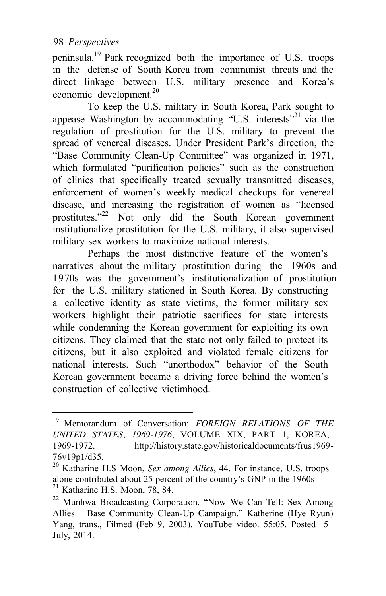peninsula.19 Park recognized both the importance of U.S. troops in the defense of South Korea from communist threats and the direct linkage between U.S. military presence and Korea's economic development. $20$ 

To keep the U.S. military in South Korea, Park sought to appease Washington by accommodating "U.S. interests"<sup>21</sup> via the regulation of prostitution for the U.S. military to prevent the spread of venereal diseases. Under President Park's direction, the "Base Community Clean-Up Committee" was organized in 1971, which formulated "purification policies" such as the construction of clinics that specifically treated sexually transmitted diseases, enforcement of women's weekly medical checkups for venereal disease, and increasing the registration of women as "licensed prostitutes."22 Not only did the South Korean government institutionalize prostitution for the U.S. military, it also supervised military sex workers to maximize national interests.

Perhaps the most distinctive feature of the women's narratives about the military prostitution during the 1960s and 1970s was the government's institutionalization of prostitution for the U.S. military stationed in South Korea. By constructing a collective identity as state victims, the former military sex workers highlight their patriotic sacrifices for state interests while condemning the Korean government for exploiting its own citizens. They claimed that the state not only failed to protect its citizens, but it also exploited and violated female citizens for national interests. Such "unorthodox" behavior of the South Korean government became a driving force behind the women's construction of collective victimhood.

<sup>19</sup> Memorandum of Conversation: *FOREIGN RELATIONS OF THE UNITED STATES, 1969-1976*, VOLUME XIX, PART 1, KOREA, 1969-1972. <http://history.state.gov/historicaldocuments/frus1969-> 76v19p1/d35.

<sup>&</sup>lt;sup>20</sup> Katharine H.S Moon, *Sex among Allies*, 44. For instance, U.S. troops alone contributed about 25 percent of the country's GNP in the 1960s <sup>21</sup> Katharine H.S. Moon, 78, 84. <sup>22</sup> Munhwa Broadcasting Corporation. "Now We Can Tell: Sex Among

Allies – Base Community Clean-Up Campaign." Katherine (Hye Ryun) Yang, trans., Filmed (Feb 9, 2003). YouTube video. 55:05. Posted 5 July, 2014.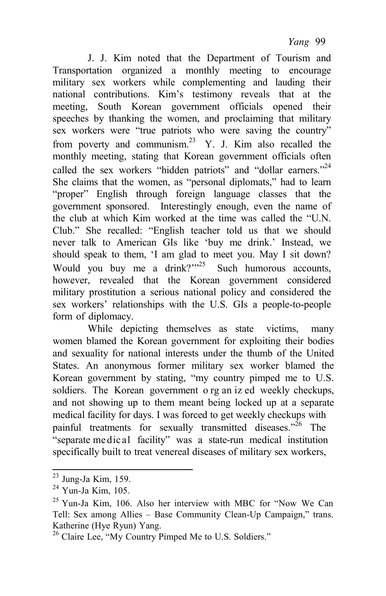J. J. Kim noted that the Department of Tourism and Transportation organized a monthly meeting to encourage military sex workers while complementing and lauding their national contributions. Kim's testimony reveals that at the meeting, South Korean government officials opened their speeches by thanking the women, and proclaiming that military sex workers were "true patriots who were saving the country" from poverty and communism.<sup>23</sup> Y. J. Kim also recalled the monthly meeting, stating that Korean government officials often called the sex workers "hidden patriots" and "dollar earners."<sup>24</sup> She claims that the women, as "personal diplomats," had to learn "proper" English through foreign language classes that the government sponsored. Interestingly enough, even the name of the club at which Kim worked at the time was called the "U.N. Club." She recalled: "English teacher told us that we should never talk to American GIs like 'buy me drink.' Instead, we should speak to them, 'I am glad to meet you. May I sit down? Would you buy me a drink? $125$  Such humorous accounts, however, revealed that the Korean government considered military prostitution a serious national policy and considered the sex workers' relationships with the U.S. GIs a people-to-people form of diplomacy.

While depicting themselves as state victims, many women blamed the Korean government for exploiting their bodies and sexuality for national interests under the thumb of the United States. An anonymous former military sex worker blamed the Korean government by stating, "my country pimped me to U.S. soldiers. The Korean government o rg an iz ed weekly checkups, and not showing up to them meant being locked up at a separate medical facility for days. I was forced to get weekly checkups with painful treatments for sexually transmitted diseases."<sup>26</sup> The "separate me dic al facility" was a state-run medical institution specifically built to treat venereal diseases of military sex workers,

 $23$  Jung-Ja Kim, 159.

 $24$  Yun-Ja Kim, 105.

<sup>25</sup> Yun-Ja Kim, 106. Also her interview with MBC for "Now We Can Tell: Sex among Allies – Base Community Clean-Up Campaign," trans. Katherine (Hye Ryun) Yang.

<sup>&</sup>lt;sup>26</sup> Claire Lee, "My Country Pimped Me to U.S. Soldiers."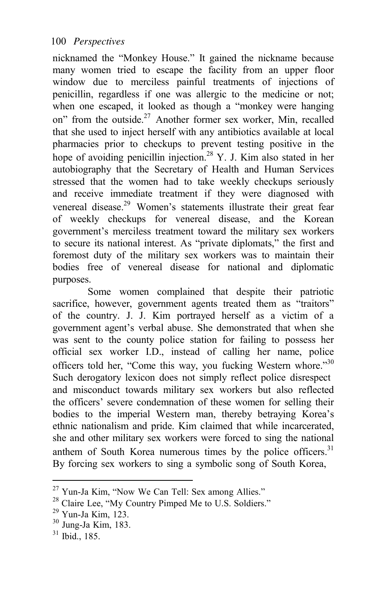nicknamed the "Monkey House." It gained the nickname because many women tried to escape the facility from an upper floor window due to merciless painful treatments of injections of penicillin, regardless if one was allergic to the medicine or not; when one escaped, it looked as though a "monkey were hanging on" from the outside.<sup>27</sup> Another former sex worker, Min, recalled that she used to inject herself with any antibiotics available at local pharmacies prior to checkups to prevent testing positive in the hope of avoiding penicillin injection.<sup>28</sup> Y. J. Kim also stated in her autobiography that the Secretary of Health and Human Services stressed that the women had to take weekly checkups seriously and receive immediate treatment if they were diagnosed with venereal disease.<sup>29</sup> Women's statements illustrate their great fear of weekly checkups for venereal disease, and the Korean government's merciless treatment toward the military sex workers to secure its national interest. As "private diplomats," the first and foremost duty of the military sex workers was to maintain their bodies free of venereal disease for national and diplomatic purposes.

Some women complained that despite their patriotic sacrifice, however, government agents treated them as "traitors" of the country. J. J. Kim portrayed herself as a victim of a government agent's verbal abuse. She demonstrated that when she was sent to the county police station for failing to possess her official sex worker I.D., instead of calling her name, police officers told her, "Come this way, you fucking Western whore."<sup>30</sup> Such derogatory lexicon does not simply reflect police disrespect and misconduct towards military sex workers but also reflected the officers' severe condemnation of these women for selling their bodies to the imperial Western man, thereby betraying Korea's ethnic nationalism and pride. Kim claimed that while incarcerated, she and other military sex workers were forced to sing the national anthem of South Korea numerous times by the police officers.<sup>31</sup> By forcing sex workers to sing a symbolic song of South Korea,

<sup>27</sup> Yun-Ja Kim, "Now We Can Tell: Sex among Allies."

<sup>&</sup>lt;sup>28</sup> Claire Lee, "My Country Pimped Me to U.S. Soldiers."<br><sup>29</sup> Yun-Ja Kim, 123.<br><sup>30</sup> Jung-Ja Kim, 183.

<sup>31</sup> Ibid., 185.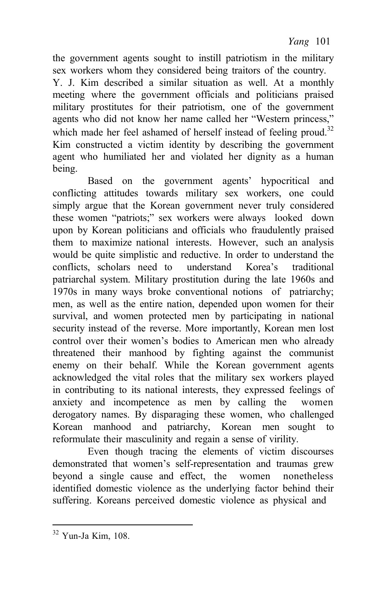*Yang* 101

the government agents sought to instill patriotism in the military sex workers whom they considered being traitors of the country.

Y. J. Kim described a similar situation as well. At a monthly meeting where the government officials and politicians praised military prostitutes for their patriotism, one of the government agents who did not know her name called her "Western princess," which made her feel ashamed of herself instead of feeling proud.<sup>32</sup> Kim constructed a victim identity by describing the government agent who humiliated her and violated her dignity as a human being.

Based on the government agents' hypocritical and conflicting attitudes towards military sex workers, one could simply argue that the Korean government never truly considered these women "patriots;" sex workers were always looked down upon by Korean politicians and officials who fraudulently praised them to maximize national interests. However, such an analysis would be quite simplistic and reductive. In order to understand the conflicts, scholars need to understand Korea's traditional patriarchal system. Military prostitution during the late 1960s and 1970s in many ways broke conventional notions of patriarchy; men, as well as the entire nation, depended upon women for their survival, and women protected men by participating in national security instead of the reverse. More importantly, Korean men lost control over their women's bodies to American men who already threatened their manhood by fighting against the communist enemy on their behalf. While the Korean government agents acknowledged the vital roles that the military sex workers played in contributing to its national interests, they expressed feelings of anxiety and incompetence as men by calling the women derogatory names. By disparaging these women, who challenged Korean manhood and patriarchy, Korean men sought to reformulate their masculinity and regain a sense of virility.

Even though tracing the elements of victim discourses demonstrated that women's self-representation and traumas grew beyond a single cause and effect, the women nonetheless identified domestic violence as the underlying factor behind their suffering. Koreans perceived domestic violence as physical and

<sup>32</sup> Yun-Ja Kim, 108.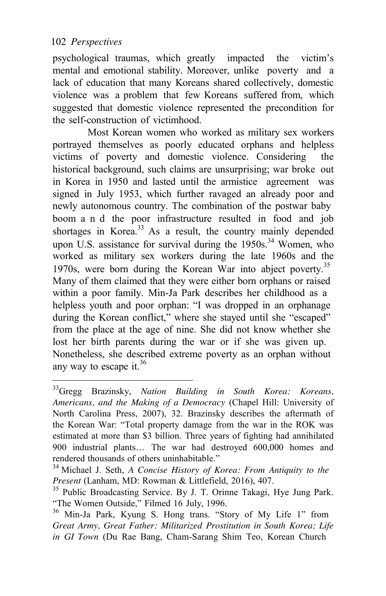psychological traumas, which greatly impacted the victim's mental and emotional stability. Moreover, unlike poverty and a lack of education that many Koreans shared collectively, domestic violence was a problem that few Koreans suffered from, which suggested that domestic violence represented the precondition for the self-construction of victimhood.

Most Korean women who worked as military sex workers portrayed themselves as poorly educated orphans and helpless victims of poverty and domestic violence. Considering the historical background, such claims are unsurprising; war broke out in Korea in 1950 and lasted until the armistice agreement was signed in July 1953, which further ravaged an already poor and newly autonomous country. The combination of the postwar baby boom a n d the poor infrastructure resulted in food and job shortages in Korea. $33$  As a result, the country mainly depended upon U.S. assistance for survival during the  $1950s$ <sup>34</sup> Women, who worked as military sex workers during the late 1960s and the 1970s, were born during the Korean War into abject poverty.<sup>35</sup> Many of them claimed that they were either born orphans or raised within a poor family. Min-Ja Park describes her childhood as a helpless youth and poor orphan: "I was dropped in an orphanage during the Korean conflict," where she stayed until she "escaped" from the place at the age of nine. She did not know whether she lost her birth parents during the war or if she was given up. Nonetheless, she described extreme poverty as an orphan without any way to escape it. $36$ 

<sup>33</sup>Gregg Brazinsky, *Nation Building in South Korea: Koreans, Americans, and the Making of a Democracy* (Chapel Hill: University of North Carolina Press, 2007), 32. Brazinsky describes the aftermath of the Korean War: "Total property damage from the war in the ROK was estimated at more than \$3 billion. Three years of fighting had annihilated 900 industrial plants… The war had destroyed 600,000 homes and rendered thousands of others uninhabitable."

<sup>&</sup>lt;sup>34</sup> Michael J. Seth, *A Concise History of Korea: From Antiquity to the Present* (Lanham, MD: Rowman & Littlefield, 2016), 407.

<sup>&</sup>lt;sup>35</sup> Public Broadcasting Service. By J. T. Orinne Takagi, Hye Jung Park. "The Women Outside," Filmed 16 July, 1996. 36 Min-Ja Park, Kyung S. Hong trans. "Story of My Life 1" from

*Great Army, Great Father: Militarized Prostitution in South Korea; Life in GI Town* (Du Rae Bang, Cham-Sarang Shim Teo, Korean Church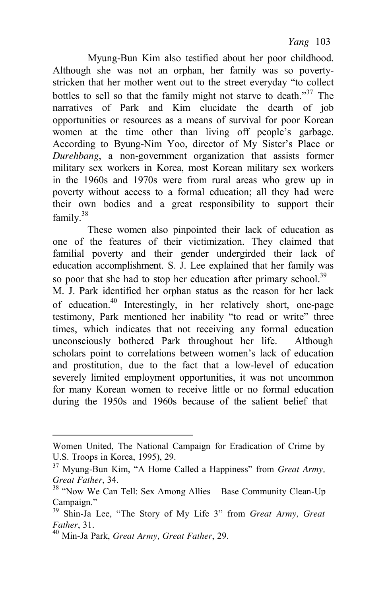Myung-Bun Kim also testified about her poor childhood. Although she was not an orphan, her family was so povertystricken that her mother went out to the street everyday "to collect bottles to sell so that the family might not starve to death."<sup>37</sup> The narratives of Park and Kim elucidate the dearth of job opportunities or resources as a means of survival for poor Korean women at the time other than living off people's garbage. According to Byung-Nim Yoo, director of My Sister's Place or *Durehbang*, a non-government organization that assists former military sex workers in Korea, most Korean military sex workers in the 1960s and 1970s were from rural areas who grew up in poverty without access to a formal education; all they had were their own bodies and a great responsibility to support their family.<sup>38</sup>

These women also pinpointed their lack of education as one of the features of their victimization. They claimed that familial poverty and their gender undergirded their lack of education accomplishment. S. J. Lee explained that her family was so poor that she had to stop her education after primary school.<sup>39</sup> M. J. Park identified her orphan status as the reason for her lack of education.40 Interestingly, in her relatively short, one-page testimony, Park mentioned her inability "to read or write" three times, which indicates that not receiving any formal education unconsciously bothered Park throughout her life. Although scholars point to correlations between women's lack of education and prostitution, due to the fact that a low-level of education severely limited employment opportunities, it was not uncommon for many Korean women to receive little or no formal education during the 1950s and 1960s because of the salient belief that

Women United, The National Campaign for Eradication of Crime by

U.S. Troops in Korea, 1995), 29.<br><sup>37</sup> Myung-Bun Kim, "A Home Called a Happiness" from *Great Army*, *Great Father*, 34.

<sup>&</sup>lt;sup>38</sup> "Now We Can Tell: Sex Among Allies – Base Community Clean-Up Campaign."

<sup>39</sup> Shin-Ja Lee, "The Story of My Life 3" from *Great Army, Great Father*, 31. 40 Min-Ja Park, *Great Army, Great Father*, 29.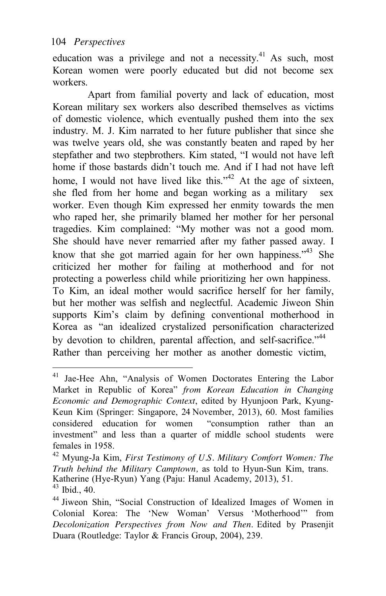education was a privilege and not a necessity. $41$  As such, most Korean women were poorly educated but did not become sex workers.

Apart from familial poverty and lack of education, most Korean military sex workers also described themselves as victims of domestic violence, which eventually pushed them into the sex industry. M. J. Kim narrated to her future publisher that since she was twelve years old, she was constantly beaten and raped by her stepfather and two stepbrothers. Kim stated, "I would not have left home if those bastards didn't touch me. And if I had not have left home. I would not have lived like this."<sup>42</sup> At the age of sixteen, she fled from her home and began working as a military sex worker. Even though Kim expressed her enmity towards the men who raped her, she primarily blamed her mother for her personal tragedies. Kim complained: "My mother was not a good mom. She should have never remarried after my father passed away. I know that she got married again for her own happiness.<sup> $34$ </sup> She criticized her mother for failing at motherhood and for not protecting a powerless child while prioritizing her own happiness. To Kim, an ideal mother would sacrifice herself for her family, but her mother was selfish and neglectful. Academic Jiweon Shin supports Kim's claim by defining conventional motherhood in Korea as "an idealized crystalized personification characterized by devotion to children, parental affection, and self-sacrifice."<sup>44</sup> Rather than perceiving her mother as another domestic victim,

<sup>41</sup> Jae-Hee Ahn, "Analysis of Women Doctorates Entering the Labor Market in Republic of Korea" *from Korean Education in Changing Economic and Demographic Context*, edited by Hyunjoon Park, Kyung-Keun Kim (Springer: Singapore, 24 November, 2013), 60. Most families considered education for women "consumption rather than an investment" and less than a quarter of middle school students were females in 1958. 42 Myung-Ja Kim, *First Testimony of U.S. Military Comfort Women: The* 

*Truth behind the Military Camptown,* as told to Hyun-Sun Kim, trans. Katherine (Hye-Ryun) Yang (Paju: Hanul Academy, 2013), 51.<br><sup>43</sup> Ibid.. 40.

<sup>&</sup>lt;sup>44</sup> Jiweon Shin, "Social Construction of Idealized Images of Women in Colonial Korea: The 'New Woman' Versus 'Motherhood'" from *Decolonization Perspectives from Now and Then*. Edited by Prasenjit Duara (Routledge: Taylor & Francis Group, 2004), 239.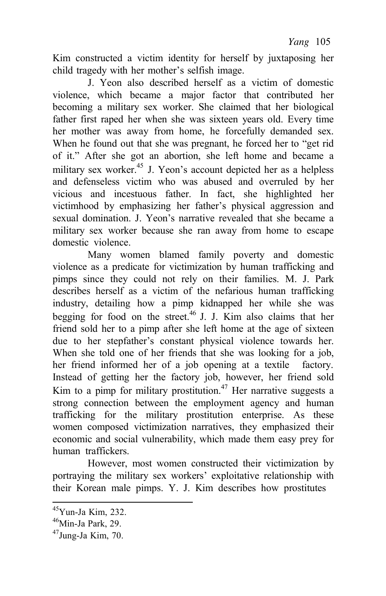Kim constructed a victim identity for herself by juxtaposing her child tragedy with her mother's selfish image.

J. Yeon also described herself as a victim of domestic violence, which became a major factor that contributed her becoming a military sex worker. She claimed that her biological father first raped her when she was sixteen years old. Every time her mother was away from home, he forcefully demanded sex. When he found out that she was pregnant, he forced her to "get rid of it." After she got an abortion, she left home and became a military sex worker.<sup>45</sup> J. Yeon's account depicted her as a helpless and defenseless victim who was abused and overruled by her vicious and incestuous father. In fact, she highlighted her victimhood by emphasizing her father's physical aggression and sexual domination. J. Yeon's narrative revealed that she became a military sex worker because she ran away from home to escape domestic violence.

Many women blamed family poverty and domestic violence as a predicate for victimization by human trafficking and pimps since they could not rely on their families. M. J. Park describes herself as a victim of the nefarious human trafficking industry, detailing how a pimp kidnapped her while she was begging for food on the street.<sup>46</sup> J. J. Kim also claims that her friend sold her to a pimp after she left home at the age of sixteen due to her stepfather's constant physical violence towards her. When she told one of her friends that she was looking for a job, her friend informed her of a job opening at a textile factory. Instead of getting her the factory job, however, her friend sold Kim to a pimp for military prostitution.<sup>47</sup> Her narrative suggests a strong connection between the employment agency and human trafficking for the military prostitution enterprise. As these women composed victimization narratives, they emphasized their economic and social vulnerability, which made them easy prey for human traffickers.

However, most women constructed their victimization by portraying the military sex workers' exploitative relationship with their Korean male pimps. Y. J. Kim describes how prostitutes

 $45$ Yun-Ja Kim, 232.

 $46$ Min-Ja Park, 29.

 $47$ Jung-Ja Kim, 70.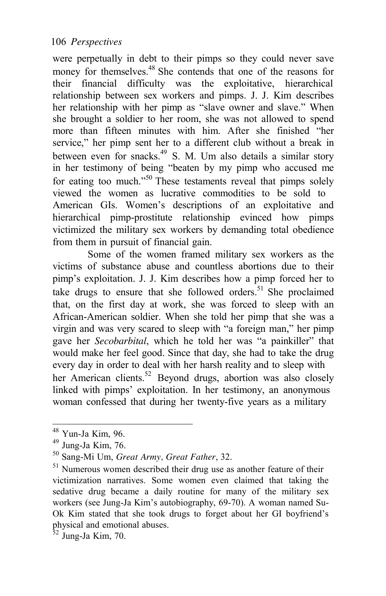were perpetually in debt to their pimps so they could never save money for themselves.<sup>48</sup> She contends that one of the reasons for their financial difficulty was the exploitative, hierarchical relationship between sex workers and pimps. J. J. Kim describes her relationship with her pimp as "slave owner and slave." When she brought a soldier to her room, she was not allowed to spend more than fifteen minutes with him. After she finished "her service," her pimp sent her to a different club without a break in between even for snacks.<sup>49</sup> S. M. Um also details a similar story in her testimony of being "beaten by my pimp who accused me for eating too much."<sup>50</sup> These testaments reveal that pimps solely viewed the women as lucrative commodities to be sold to American GIs. Women's descriptions of an exploitative and hierarchical pimp-prostitute relationship evinced how pimps victimized the military sex workers by demanding total obedience from them in pursuit of financial gain.

Some of the women framed military sex workers as the victims of substance abuse and countless abortions due to their pimp's exploitation. J. J. Kim describes how a pimp forced her to take drugs to ensure that she followed orders.<sup>51</sup> She proclaimed that, on the first day at work, she was forced to sleep with an African-American soldier. When she told her pimp that she was a virgin and was very scared to sleep with "a foreign man," her pimp gave her *Secobarbital*, which he told her was "a painkiller" that would make her feel good. Since that day, she had to take the drug every day in order to deal with her harsh reality and to sleep with her American clients.<sup>52</sup> Beyond drugs, abortion was also closely linked with pimps' exploitation. In her testimony, an anonymous woman confessed that during her twenty-five years as a military

<sup>48</sup> Yun-Ja Kim, 96.

 $49$  Jung-Ja Kim, 76.

<sup>50</sup> Sang-Mi Um, *Great Army, Great Father*, 32.

<sup>&</sup>lt;sup>51</sup> Numerous women described their drug use as another feature of their victimization narratives. Some women even claimed that taking the sedative drug became a daily routine for many of the military sex workers (see Jung-Ja Kim's autobiography, 69-70). A woman named Su-Ok Kim stated that she took drugs to forget about her GI boyfriend's physical and emotional abuses.

 $\frac{52}{3}$  Jung-Ja Kim, 70.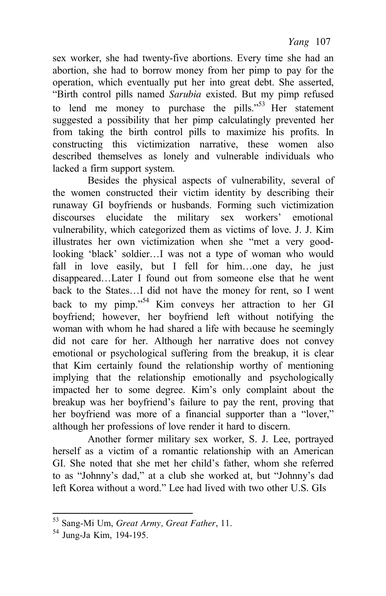sex worker, she had twenty-five abortions. Every time she had an abortion, she had to borrow money from her pimp to pay for the operation, which eventually put her into great debt. She asserted, "Birth control pills named *Sarubia* existed. But my pimp refused to lend me money to purchase the pills." $53$  Her statement suggested a possibility that her pimp calculatingly prevented her from taking the birth control pills to maximize his profits. In constructing this victimization narrative, these women also described themselves as lonely and vulnerable individuals who lacked a firm support system.

Besides the physical aspects of vulnerability, several of the women constructed their victim identity by describing their runaway GI boyfriends or husbands. Forming such victimization discourses elucidate the military sex workers' emotional vulnerability, which categorized them as victims of love. J. J. Kim illustrates her own victimization when she "met a very goodlooking 'black' soldier…I was not a type of woman who would fall in love easily, but I fell for him...one day, he just disappeared…Later I found out from someone else that he went back to the States…I did not have the money for rent, so I went back to my pimp."54 Kim conveys her attraction to her GI boyfriend; however, her boyfriend left without notifying the woman with whom he had shared a life with because he seemingly did not care for her. Although her narrative does not convey emotional or psychological suffering from the breakup, it is clear that Kim certainly found the relationship worthy of mentioning implying that the relationship emotionally and psychologically impacted her to some degree. Kim's only complaint about the breakup was her boyfriend's failure to pay the rent, proving that her boyfriend was more of a financial supporter than a "lover," although her professions of love render it hard to discern.

Another former military sex worker, S. J. Lee, portrayed herself as a victim of a romantic relationship with an American GI. She noted that she met her child's father, whom she referred to as "Johnny's dad," at a club she worked at, but "Johnny's dad left Korea without a word." Lee had lived with two other U.S. GIs

<sup>53</sup> Sang-Mi Um, *Great Army, Great Father*, 11.

<sup>54</sup> Jung-Ja Kim, 194-195.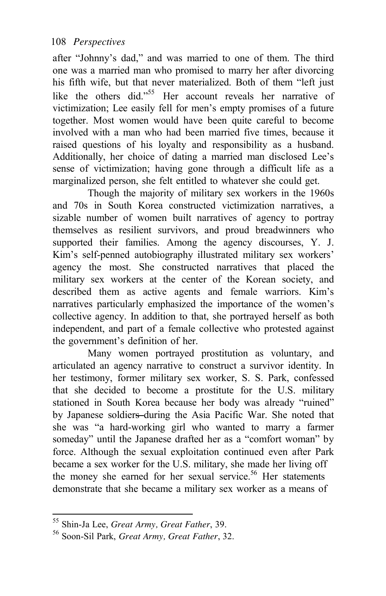after "Johnny's dad," and was married to one of them. The third one was a married man who promised to marry her after divorcing his fifth wife, but that never materialized. Both of them "left just like the others did."<sup>55</sup> Her account reveals her narrative of victimization; Lee easily fell for men's empty promises of a future together. Most women would have been quite careful to become involved with a man who had been married five times, because it raised questions of his loyalty and responsibility as a husband. Additionally, her choice of dating a married man disclosed Lee's sense of victimization; having gone through a difficult life as a marginalized person, she felt entitled to whatever she could get.

Though the majority of military sex workers in the 1960s and 70s in South Korea constructed victimization narratives, a sizable number of women built narratives of agency to portray themselves as resilient survivors, and proud breadwinners who supported their families. Among the agency discourses, Y. J. Kim's self-penned autobiography illustrated military sex workers' agency the most. She constructed narratives that placed the military sex workers at the center of the Korean society, and described them as active agents and female warriors. Kim's narratives particularly emphasized the importance of the women's collective agency. In addition to that, she portrayed herself as both independent, and part of a female collective who protested against the government's definition of her.

Many women portrayed prostitution as voluntary, and articulated an agency narrative to construct a survivor identity. In her testimony, former military sex worker, S. S. Park, confessed that she decided to become a prostitute for the U.S. military stationed in South Korea because her body was already "ruined" by Japanese soldiers-during the Asia Pacific War. She noted that she was "a hard-working girl who wanted to marry a farmer someday" until the Japanese drafted her as a "comfort woman" by force. Although the sexual exploitation continued even after Park became a sex worker for the U.S. military, she made her living off the money she earned for her sexual service.<sup>56</sup> Her statements demonstrate that she became a military sex worker as a means of

<sup>55</sup> Shin-Ja Lee, *Great Army, Great Father*, 39.

<sup>56</sup> Soon-Sil Park, *Great Army, Great Father*, 32.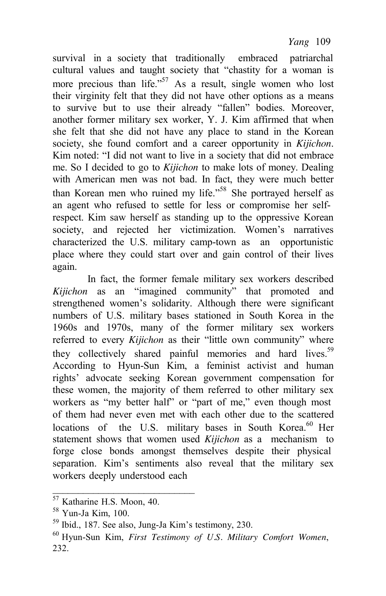survival in a society that traditionally embraced patriarchal cultural values and taught society that "chastity for a woman is more precious than life."<sup>57</sup> As a result, single women who lost their virginity felt that they did not have other options as a means to survive but to use their already "fallen" bodies. Moreover, another former military sex worker, Y. J. Kim affirmed that when she felt that she did not have any place to stand in the Korean society, she found comfort and a career opportunity in *Kijichon*. Kim noted: "I did not want to live in a society that did not embrace me. So I decided to go to *Kijichon* to make lots of money. Dealing with American men was not bad. In fact, they were much better than Korean men who ruined my life."<sup>58</sup> She portrayed herself as an agent who refused to settle for less or compromise her selfrespect. Kim saw herself as standing up to the oppressive Korean society, and rejected her victimization. Women's narratives characterized the U.S. military camp-town as an opportunistic place where they could start over and gain control of their lives again.

In fact, the former female military sex workers described *Kijichon* as an "imagined community" that promoted and strengthened women's solidarity. Although there were significant numbers of U.S. military bases stationed in South Korea in the 1960s and 1970s, many of the former military sex workers referred to every *Kijichon* as their "little own community" where they collectively shared painful memories and hard lives.<sup>59</sup> According to Hyun-Sun Kim, a feminist activist and human rights' advocate seeking Korean government compensation for these women, the majority of them referred to other military sex workers as "my better half" or "part of me," even though most of them had never even met with each other due to the scattered locations of the U.S. military bases in South Korea.<sup>60</sup> Her statement shows that women used *Kijichon* as a mechanism to forge close bonds amongst themselves despite their physical separation. Kim's sentiments also reveal that the military sex workers deeply understood each

\_\_\_\_\_\_\_\_\_\_\_\_\_\_\_\_\_\_\_\_\_\_\_\_\_\_\_\_

<sup>57</sup> Katharine H.S. Moon, 40.

<sup>58</sup> Yun-Ja Kim, 100.

<sup>59</sup> Ibid., 187. See also, Jung-Ja Kim's testimony, 230.

<sup>60</sup> Hyun-Sun Kim, *First Testimony of U.S. Military Comfort Women*, 232.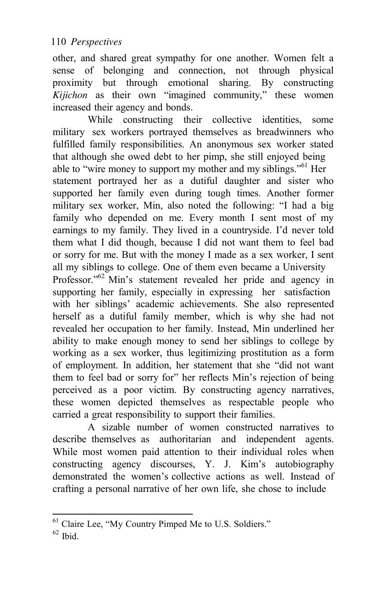other, and shared great sympathy for one another. Women felt a sense of belonging and connection, not through physical proximity but through emotional sharing. By constructing *Kijichon* as their own "imagined community," these women increased their agency and bonds.

While constructing their collective identities, some military sex workers portrayed themselves as breadwinners who fulfilled family responsibilities. An anonymous sex worker stated that although she owed debt to her pimp, she still enjoyed being able to "wire money to support my mother and my siblings."<sup>61</sup> Her statement portrayed her as a dutiful daughter and sister who supported her family even during tough times. Another former military sex worker, Min, also noted the following: "I had a big family who depended on me. Every month I sent most of my earnings to my family. They lived in a countryside. I'd never told them what I did though, because I did not want them to feel bad or sorry for me. But with the money I made as a sex worker, I sent all my siblings to college. One of them even became a University Professor."<sup>62</sup> Min's statement revealed her pride and agency in supporting her family, especially in expressing her satisfaction with her siblings' academic achievements. She also represented herself as a dutiful family member, which is why she had not revealed her occupation to her family. Instead, Min underlined her ability to make enough money to send her siblings to college by working as a sex worker, thus legitimizing prostitution as a form of employment. In addition, her statement that she "did not want them to feel bad or sorry for" her reflects Min's rejection of being perceived as a poor victim. By constructing agency narratives, these women depicted themselves as respectable people who carried a great responsibility to support their families.

A sizable number of women constructed narratives to describe themselves as authoritarian and independent agents. While most women paid attention to their individual roles when constructing agency discourses, Y. J. Kim's autobiography demonstrated the women's collective actions as well. Instead of crafting a personal narrative of her own life, she chose to include

 $62$  Ibid.

<sup>61</sup> Claire Lee, "My Country Pimped Me to U.S. Soldiers."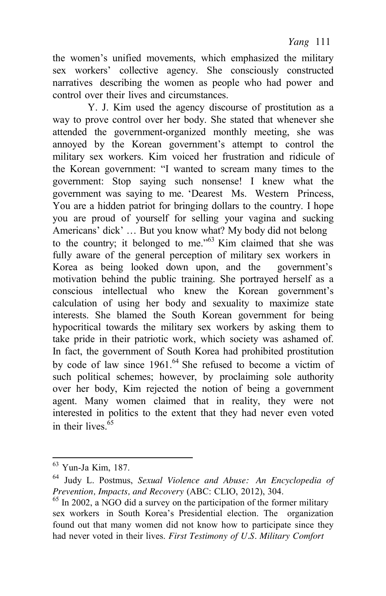the women's unified movements, which emphasized the military sex workers' collective agency. She consciously constructed narratives describing the women as people who had power and control over their lives and circumstances.

Y. J. Kim used the agency discourse of prostitution as a way to prove control over her body. She stated that whenever she attended the government-organized monthly meeting, she was annoyed by the Korean government's attempt to control the military sex workers. Kim voiced her frustration and ridicule of the Korean government: "I wanted to scream many times to the government: Stop saying such nonsense! I knew what the government was saying to me. 'Dearest Ms. Western Princess, You are a hidden patriot for bringing dollars to the country. I hope you are proud of yourself for selling your vagina and sucking Americans' dick' … But you know what? My body did not belong to the country; it belonged to me.<sup> $.63$ </sup> Kim claimed that she was fully aware of the general perception of military sex workers in Korea as being looked down upon, and the government's motivation behind the public training. She portrayed herself as a conscious intellectual who knew the Korean government's calculation of using her body and sexuality to maximize state interests. She blamed the South Korean government for being hypocritical towards the military sex workers by asking them to take pride in their patriotic work, which society was ashamed of. In fact, the government of South Korea had prohibited prostitution by code of law since  $1961$ .<sup>64</sup> She refused to become a victim of such political schemes; however, by proclaiming sole authority over her body, Kim rejected the notion of being a government agent. Many women claimed that in reality, they were not interested in politics to the extent that they had never even voted in their lives. $65$ 

<sup>63</sup> Yun-Ja Kim, 187.

<sup>64</sup> Judy L. Postmus, *Sexual Violence and Abuse: An Encyclopedia of*

<sup>&</sup>lt;sup>65</sup> In 2002, a NGO did a survey on the participation of the former military sex workers in South Korea's Presidential election. The organization found out that many women did not know how to participate since they had never voted in their lives. *First Testimony of U.S. Military Comfort*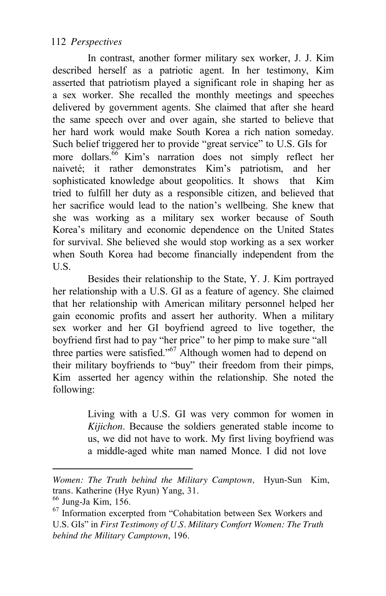In contrast, another former military sex worker, J. J. Kim described herself as a patriotic agent. In her testimony, Kim asserted that patriotism played a significant role in shaping her as a sex worker. She recalled the monthly meetings and speeches delivered by government agents. She claimed that after she heard the same speech over and over again, she started to believe that her hard work would make South Korea a rich nation someday. Such belief triggered her to provide "great service" to U.S. GIs for more dollars.<sup>66</sup> Kim's narration does not simply reflect her naiveté; it rather demonstrates Kim's patriotism, and her sophisticated knowledge about geopolitics. It shows that Kim tried to fulfill her duty as a responsible citizen, and believed that her sacrifice would lead to the nation's wellbeing. She knew that she was working as a military sex worker because of South Korea's military and economic dependence on the United States for survival. She believed she would stop working as a sex worker when South Korea had become financially independent from the U.S.

Besides their relationship to the State, Y. J. Kim portrayed her relationship with a U.S. GI as a feature of agency. She claimed that her relationship with American military personnel helped her gain economic profits and assert her authority. When a military sex worker and her GI boyfriend agreed to live together, the boyfriend first had to pay "her price" to her pimp to make sure "all three parties were satisfied."67 Although women had to depend on their military boyfriends to "buy" their freedom from their pimps, Kim asserted her agency within the relationship. She noted the following:

> Living with a U.S. GI was very common for women in *Kijichon*. Because the soldiers generated stable income to us, we did not have to work. My first living boyfriend was a middle-aged white man named Monce. I did not love

*Women: The Truth behind the Military Camptown,* Hyun-Sun Kim, trans*.* Katherine (Hye Ryun) Yang, 31. 66 Jung-Ja Kim, 156.

<sup>&</sup>lt;sup>67</sup> Information excerpted from "Cohabitation between Sex Workers and U.S. GIs" in *First Testimony of U.S. Military Comfort Women: The Truth behind the Military Camptown*, 196.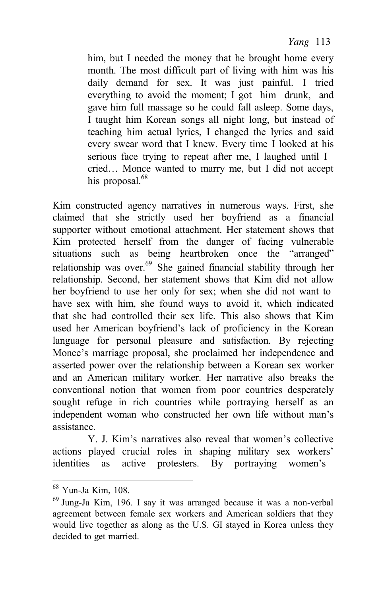him, but I needed the money that he brought home every month. The most difficult part of living with him was his daily demand for sex. It was just painful. I tried everything to avoid the moment; I got him drunk, and gave him full massage so he could fall asleep. Some days, I taught him Korean songs all night long, but instead of teaching him actual lyrics, I changed the lyrics and said every swear word that I knew. Every time I looked at his serious face trying to repeat after me, I laughed until I cried… Monce wanted to marry me, but I did not accept his proposal.<sup>68</sup>

Kim constructed agency narratives in numerous ways. First, she claimed that she strictly used her boyfriend as a financial supporter without emotional attachment. Her statement shows that Kim protected herself from the danger of facing vulnerable situations such as being heartbroken once the "arranged" relationship was over.<sup>69</sup> She gained financial stability through her relationship. Second, her statement shows that Kim did not allow her boyfriend to use her only for sex; when she did not want to have sex with him, she found ways to avoid it, which indicated that she had controlled their sex life. This also shows that Kim used her American boyfriend's lack of proficiency in the Korean language for personal pleasure and satisfaction. By rejecting Monce's marriage proposal, she proclaimed her independence and asserted power over the relationship between a Korean sex worker and an American military worker. Her narrative also breaks the conventional notion that women from poor countries desperately sought refuge in rich countries while portraying herself as an independent woman who constructed her own life without man's assistance.

Y. J. Kim's narratives also reveal that women's collective actions played crucial roles in shaping military sex workers' identities as active protesters. By portraying women's

<sup>68</sup> Yun-Ja Kim, 108.

 $69$  Jung-Ja Kim, 196. I say it was arranged because it was a non-verbal agreement between female sex workers and American soldiers that they would live together as along as the U.S. GI stayed in Korea unless they decided to get married.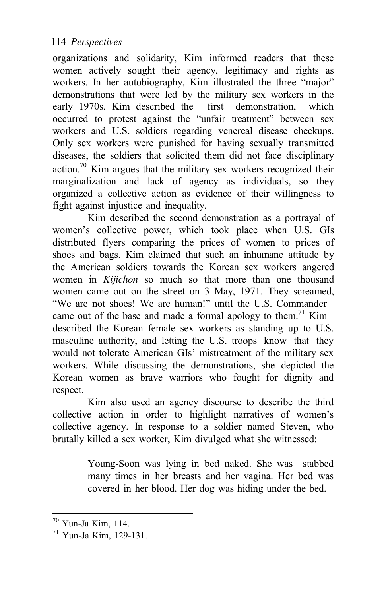organizations and solidarity, Kim informed readers that these women actively sought their agency, legitimacy and rights as workers. In her autobiography, Kim illustrated the three "major" demonstrations that were led by the military sex workers in the early 1970s. Kim described the first demonstration, which occurred to protest against the "unfair treatment" between sex workers and U.S. soldiers regarding venereal disease checkups. Only sex workers were punished for having sexually transmitted diseases, the soldiers that solicited them did not face disciplinary action.<sup>70</sup> Kim argues that the military sex workers recognized their marginalization and lack of agency as individuals, so they organized a collective action as evidence of their willingness to fight against injustice and inequality.

Kim described the second demonstration as a portrayal of women's collective power, which took place when U.S. GIs distributed flyers comparing the prices of women to prices of shoes and bags. Kim claimed that such an inhumane attitude by the American soldiers towards the Korean sex workers angered women in *Kijichon* so much so that more than one thousand women came out on the street on 3 May, 1971. They screamed, "We are not shoes! We are human!" until the U.S. Commander came out of the base and made a formal apology to them.<sup>71</sup> Kim described the Korean female sex workers as standing up to U.S. masculine authority, and letting the U.S. troops know that they would not tolerate American GIs' mistreatment of the military sex workers. While discussing the demonstrations, she depicted the Korean women as brave warriors who fought for dignity and respect.

Kim also used an agency discourse to describe the third collective action in order to highlight narratives of women's collective agency. In response to a soldier named Steven, who brutally killed a sex worker, Kim divulged what she witnessed:

> Young-Soon was lying in bed naked. She was stabbed many times in her breasts and her vagina. Her bed was covered in her blood. Her dog was hiding under the bed.

<sup>70</sup> Yun-Ja Kim, 114.

<sup>71</sup> Yun-Ja Kim, 129-131.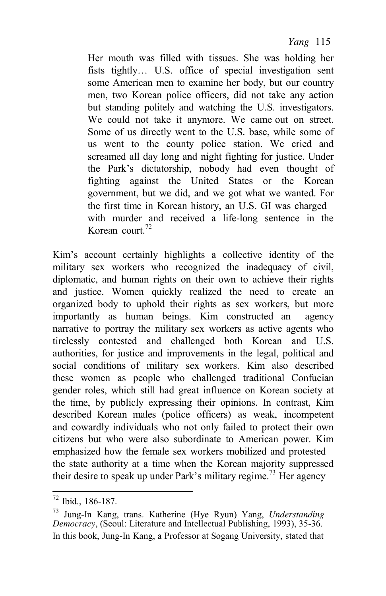Her mouth was filled with tissues. She was holding her fists tightly… U.S. office of special investigation sent some American men to examine her body, but our country men, two Korean police officers, did not take any action but standing politely and watching the U.S. investigators. We could not take it anymore. We came out on street. Some of us directly went to the U.S. base, while some of us went to the county police station. We cried and screamed all day long and night fighting for justice. Under the Park's dictatorship, nobody had even thought of fighting against the United States or the Korean government, but we did, and we got what we wanted. For the first time in Korean history, an U.S. GI was charged with murder and received a life-long sentence in the Korean court. $72$ 

Kim's account certainly highlights a collective identity of the military sex workers who recognized the inadequacy of civil, diplomatic, and human rights on their own to achieve their rights and justice. Women quickly realized the need to create an organized body to uphold their rights as sex workers, but more importantly as human beings. Kim constructed an agency narrative to portray the military sex workers as active agents who tirelessly contested and challenged both Korean and U.S. authorities, for justice and improvements in the legal, political and social conditions of military sex workers. Kim also described these women as people who challenged traditional Confucian gender roles, which still had great influence on Korean society at the time, by publicly expressing their opinions. In contrast, Kim described Korean males (police officers) as weak, incompetent and cowardly individuals who not only failed to protect their own citizens but who were also subordinate to American power. Kim emphasized how the female sex workers mobilized and protested the state authority at a time when the Korean majority suppressed their desire to speak up under Park's military regime.<sup>73</sup> Her agency

<sup>72</sup> Ibid., 186-187.

<sup>73</sup> Jung-In Kang, trans. Katherine (Hye Ryun) Yang, *Understanding Democracy*, (Seoul: Literature and Intellectual Publishing, 1993), 35-36. In this book, Jung-In Kang, a Professor at Sogang University, stated that